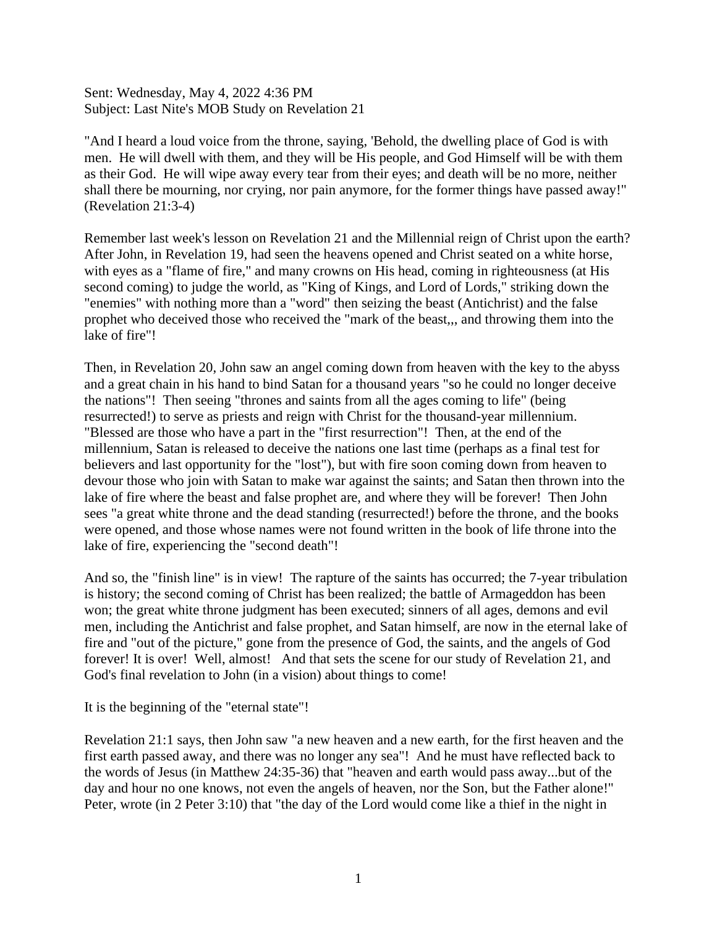Sent: Wednesday, May 4, 2022 4:36 PM Subject: Last Nite's MOB Study on Revelation 21

"And I heard a loud voice from the throne, saying, 'Behold, the dwelling place of God is with men. He will dwell with them, and they will be His people, and God Himself will be with them as their God. He will wipe away every tear from their eyes; and death will be no more, neither shall there be mourning, nor crying, nor pain anymore, for the former things have passed away!" (Revelation 21:3-4)

Remember last week's lesson on Revelation 21 and the Millennial reign of Christ upon the earth? After John, in Revelation 19, had seen the heavens opened and Christ seated on a white horse, with eyes as a "flame of fire," and many crowns on His head, coming in righteousness (at His second coming) to judge the world, as "King of Kings, and Lord of Lords," striking down the "enemies" with nothing more than a "word" then seizing the beast (Antichrist) and the false prophet who deceived those who received the "mark of the beast,,, and throwing them into the lake of fire"!

Then, in Revelation 20, John saw an angel coming down from heaven with the key to the abyss and a great chain in his hand to bind Satan for a thousand years "so he could no longer deceive the nations"! Then seeing "thrones and saints from all the ages coming to life" (being resurrected!) to serve as priests and reign with Christ for the thousand-year millennium. "Blessed are those who have a part in the "first resurrection"! Then, at the end of the millennium, Satan is released to deceive the nations one last time (perhaps as a final test for believers and last opportunity for the "lost"), but with fire soon coming down from heaven to devour those who join with Satan to make war against the saints; and Satan then thrown into the lake of fire where the beast and false prophet are, and where they will be forever! Then John sees "a great white throne and the dead standing (resurrected!) before the throne, and the books were opened, and those whose names were not found written in the book of life throne into the lake of fire, experiencing the "second death"!

And so, the "finish line" is in view! The rapture of the saints has occurred; the 7-year tribulation is history; the second coming of Christ has been realized; the battle of Armageddon has been won; the great white throne judgment has been executed; sinners of all ages, demons and evil men, including the Antichrist and false prophet, and Satan himself, are now in the eternal lake of fire and "out of the picture," gone from the presence of God, the saints, and the angels of God forever! It is over! Well, almost! And that sets the scene for our study of Revelation 21, and God's final revelation to John (in a vision) about things to come!

It is the beginning of the "eternal state"!

Revelation 21:1 says, then John saw "a new heaven and a new earth, for the first heaven and the first earth passed away, and there was no longer any sea"! And he must have reflected back to the words of Jesus (in Matthew 24:35-36) that "heaven and earth would pass away...but of the day and hour no one knows, not even the angels of heaven, nor the Son, but the Father alone!" Peter, wrote (in 2 Peter 3:10) that "the day of the Lord would come like a thief in the night in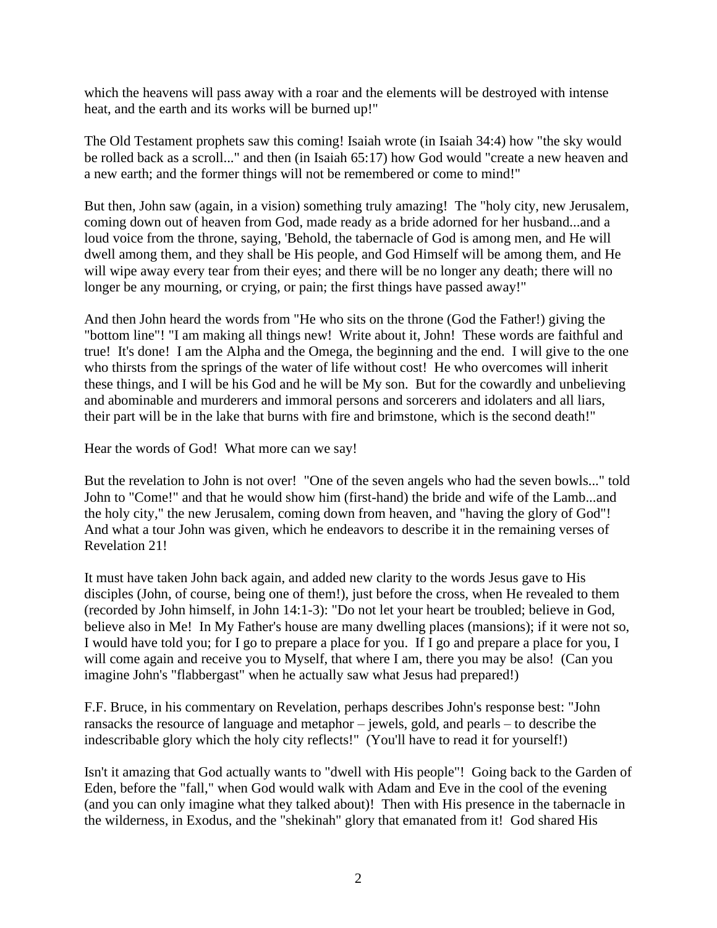which the heavens will pass away with a roar and the elements will be destroyed with intense heat, and the earth and its works will be burned up!"

The Old Testament prophets saw this coming! Isaiah wrote (in Isaiah 34:4) how "the sky would be rolled back as a scroll..." and then (in Isaiah 65:17) how God would "create a new heaven and a new earth; and the former things will not be remembered or come to mind!"

But then, John saw (again, in a vision) something truly amazing! The "holy city, new Jerusalem, coming down out of heaven from God, made ready as a bride adorned for her husband...and a loud voice from the throne, saying, 'Behold, the tabernacle of God is among men, and He will dwell among them, and they shall be His people, and God Himself will be among them, and He will wipe away every tear from their eyes; and there will be no longer any death; there will no longer be any mourning, or crying, or pain; the first things have passed away!"

And then John heard the words from "He who sits on the throne (God the Father!) giving the "bottom line"! "I am making all things new! Write about it, John! These words are faithful and true! It's done! I am the Alpha and the Omega, the beginning and the end. I will give to the one who thirsts from the springs of the water of life without cost! He who overcomes will inherit these things, and I will be his God and he will be My son. But for the cowardly and unbelieving and abominable and murderers and immoral persons and sorcerers and idolaters and all liars, their part will be in the lake that burns with fire and brimstone, which is the second death!"

Hear the words of God! What more can we say!

But the revelation to John is not over! "One of the seven angels who had the seven bowls..." told John to "Come!" and that he would show him (first-hand) the bride and wife of the Lamb...and the holy city," the new Jerusalem, coming down from heaven, and "having the glory of God"! And what a tour John was given, which he endeavors to describe it in the remaining verses of Revelation 21!

It must have taken John back again, and added new clarity to the words Jesus gave to His disciples (John, of course, being one of them!), just before the cross, when He revealed to them (recorded by John himself, in John 14:1-3): "Do not let your heart be troubled; believe in God, believe also in Me! In My Father's house are many dwelling places (mansions); if it were not so, I would have told you; for I go to prepare a place for you. If I go and prepare a place for you, I will come again and receive you to Myself, that where I am, there you may be also! (Can you imagine John's "flabbergast" when he actually saw what Jesus had prepared!)

F.F. Bruce, in his commentary on Revelation, perhaps describes John's response best: "John ransacks the resource of language and metaphor – jewels, gold, and pearls – to describe the indescribable glory which the holy city reflects!" (You'll have to read it for yourself!)

Isn't it amazing that God actually wants to "dwell with His people"! Going back to the Garden of Eden, before the "fall," when God would walk with Adam and Eve in the cool of the evening (and you can only imagine what they talked about)! Then with His presence in the tabernacle in the wilderness, in Exodus, and the "shekinah" glory that emanated from it! God shared His